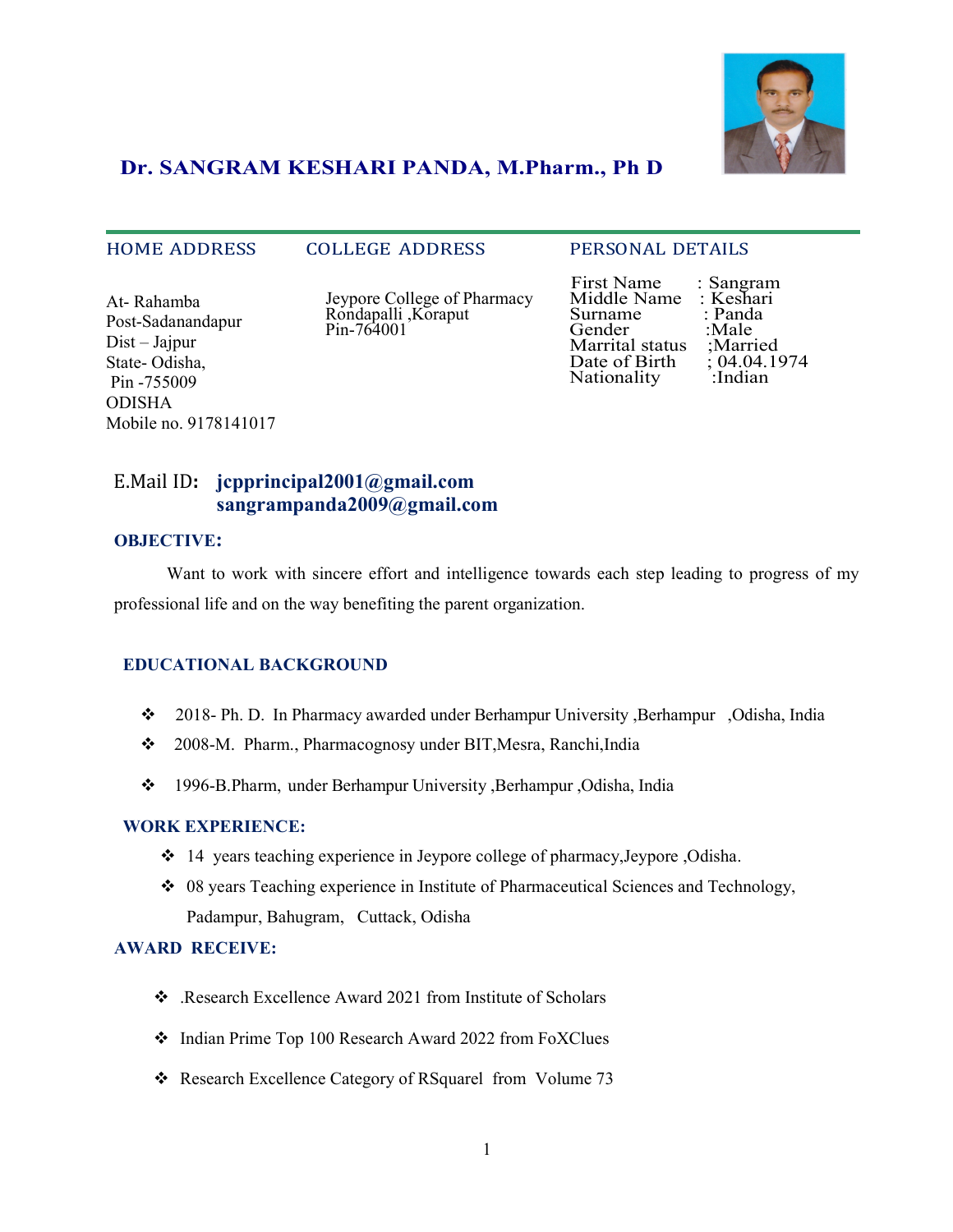

# Dr. SANGRAM KESHARI PANDA, M.Pharm., Ph D

#### HOME ADDRESS COLLEGE ADDRESS PERSONAL DETAILS

At- Rahamba Post-Sadanandapur Dist – Jajpur State- Odisha, Pin -755009 ODISHA Mobile no. 9178141017  Jeypore College of Pharmacy Rondapalli ,Koraput Pin-764001

 First Name : Sangram Middle Name : Keshari<br>Surname : Panda Surname : Panda<br>Gender : Male Gender :Male<br>Marrital status :Married Marrital status ;Married<br>Date of Birth ; 04.04.1974 Date of Birth ; 04.04.1<br>Nationality : Indian Nationality

# E.Mail ID: jcpprincipal2001@gmail.com sangrampanda2009@gmail.com

#### OBJECTIVE:

Want to work with sincere effort and intelligence towards each step leading to progress of my professional life and on the way benefiting the parent organization.

#### EDUCATIONAL BACKGROUND

- 2018- Ph. D. In Pharmacy awarded under Berhampur University ,Berhampur ,Odisha, India
- 2008-M. Pharm., Pharmacognosy under BIT,Mesra, Ranchi,India
- 1996-B.Pharm, under Berhampur University ,Berhampur ,Odisha, India

#### WORK EXPERIENCE:

- 14 years teaching experience in Jeypore college of pharmacy,Jeypore ,Odisha.
- $\div$  08 years Teaching experience in Institute of Pharmaceutical Sciences and Technology, Padampur, Bahugram, Cuttack, Odisha

#### AWARD RECEIVE:

- \* Research Excellence Award 2021 from Institute of Scholars
- $\div$  Indian Prime Top 100 Research Award 2022 from FoXClues
- Research Excellence Category of RSquarel from Volume 73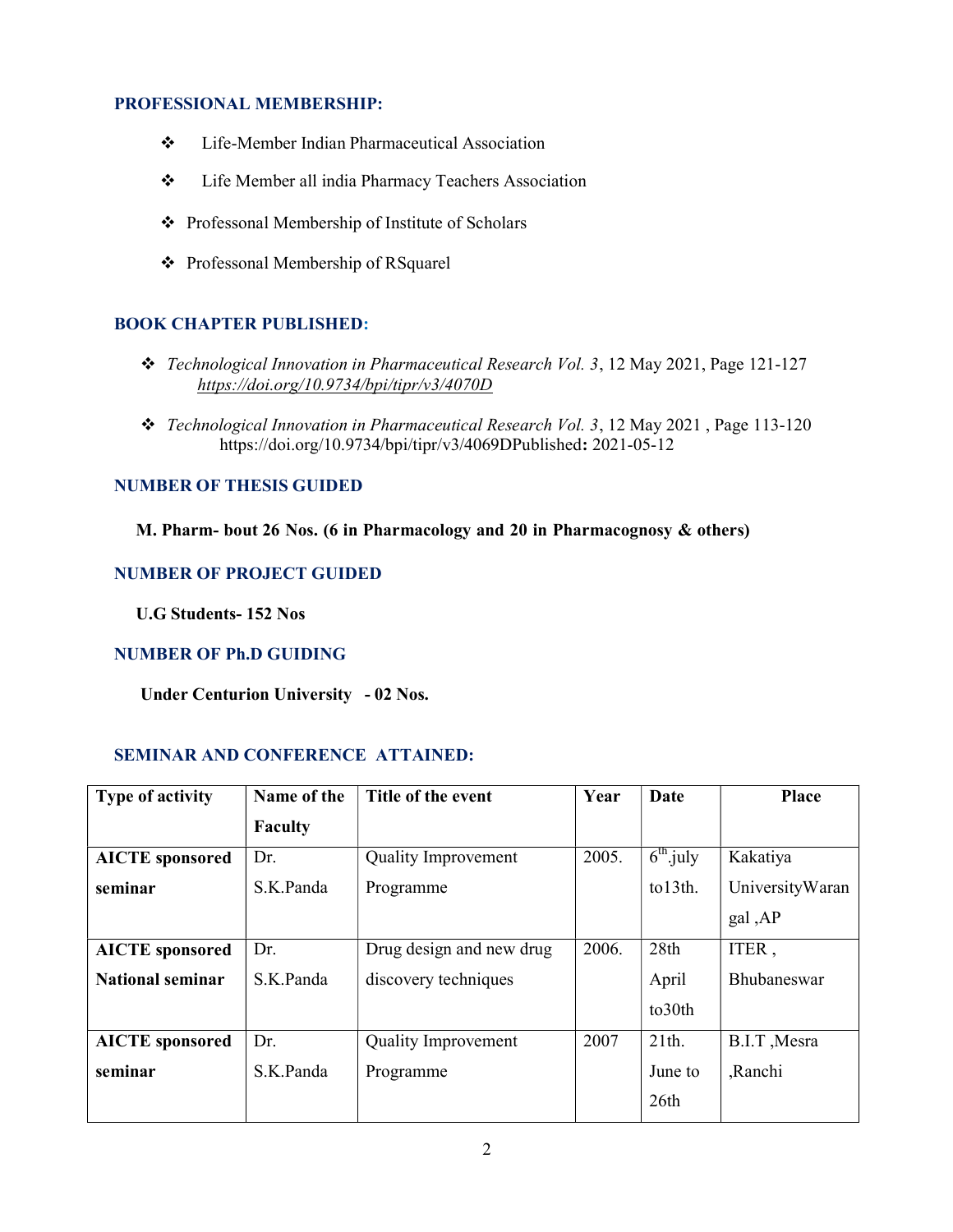### PROFESSIONAL MEMBERSHIP:

- Life-Member Indian Pharmaceutical Association
- Life Member all india Pharmacy Teachers Association
- Professonal Membership of Institute of Scholars
- Professonal Membership of RSquarel

# BOOK CHAPTER PUBLISHED:

- \* Technological Innovation in Pharmaceutical Research Vol. 3, 12 May 2021, Page 121-127 https://doi.org/10.9734/bpi/tipr/v3/4070D
- \* Technological Innovation in Pharmaceutical Research Vol. 3, 12 May 2021, Page 113-120 https://doi.org/10.9734/bpi/tipr/v3/4069DPublished: 2021-05-12

### NUMBER OF THESIS GUIDED

M. Pharm- bout 26 Nos. (6 in Pharmacology and 20 in Pharmacognosy & others)

# NUMBER OF PROJECT GUIDED

U.G Students- 152 Nos

# NUMBER OF Ph.D GUIDING

Under Centurion University - 02 Nos.

# SEMINAR AND CONFERENCE ATTAINED:

| <b>Type of activity</b> | Name of the    | Title of the event         | Year  | Date                      | <b>Place</b>    |
|-------------------------|----------------|----------------------------|-------|---------------------------|-----------------|
|                         | <b>Faculty</b> |                            |       |                           |                 |
| <b>AICTE</b> sponsored  | Dr.            | <b>Quality Improvement</b> | 2005. | $\overline{6^{th}}$ .july | Kakatiya        |
| seminar                 | S.K.Panda      | Programme                  |       | to13th.                   | UniversityWaran |
|                         |                |                            |       |                           | gal, AP         |
| <b>AICTE</b> sponsored  | Dr.            | Drug design and new drug   | 2006. | 28th                      | ITER,           |
| <b>National seminar</b> | S.K.Panda      | discovery techniques       |       | April                     | Bhubaneswar     |
|                         |                |                            |       | to30th                    |                 |
| <b>AICTE</b> sponsored  | Dr.            | <b>Quality Improvement</b> | 2007  | 21th.                     | B.I.T, Mesra    |
| seminar                 | S.K.Panda      | Programme                  |       | June to                   | ,Ranchi         |
|                         |                |                            |       | 26th                      |                 |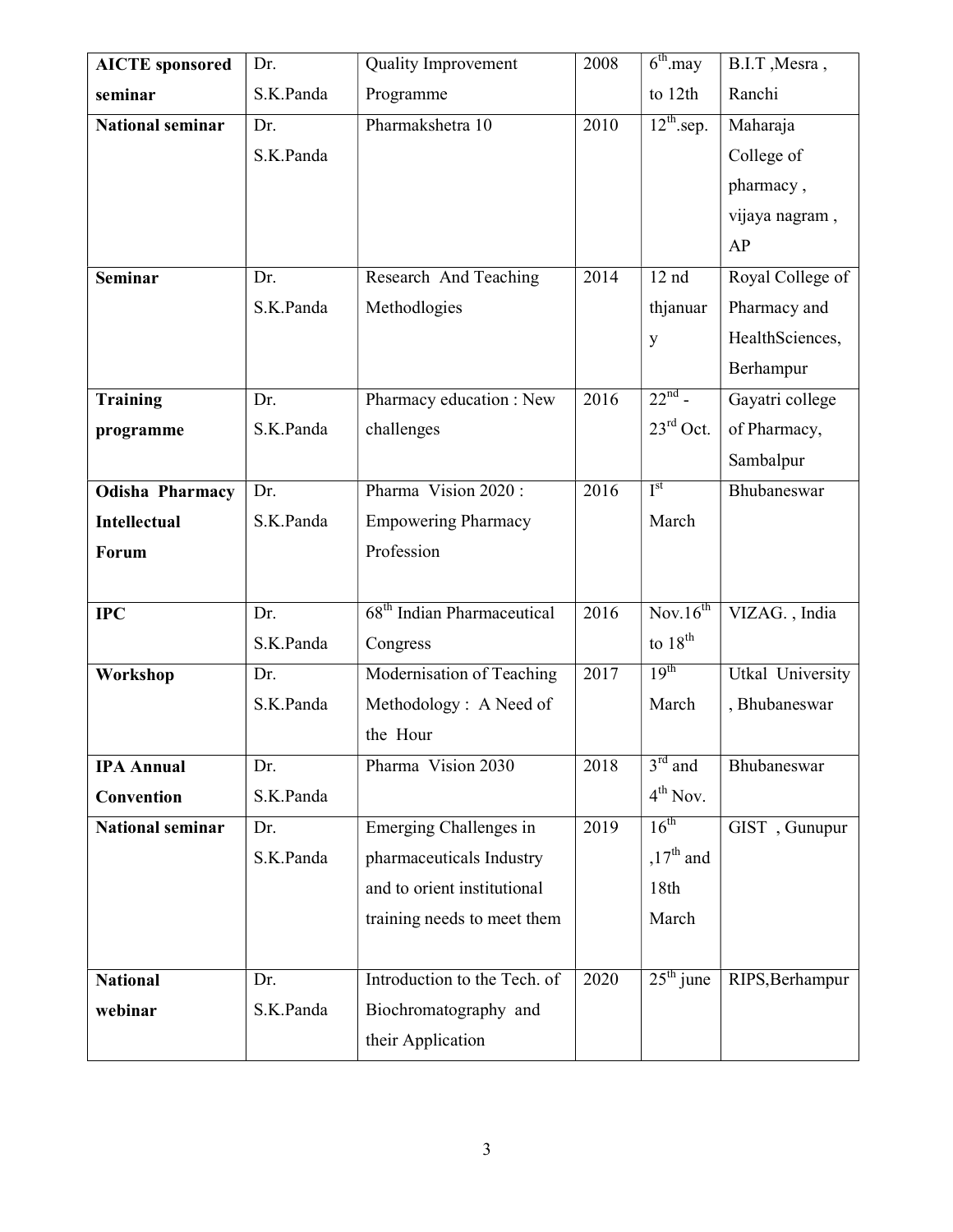| <b>AICTE</b> sponsored  | Dr.       | <b>Quality Improvement</b>             | 2008 | $6^{\text{th}}$ .may   | B.I.T, Mesra,    |
|-------------------------|-----------|----------------------------------------|------|------------------------|------------------|
| seminar                 | S.K.Panda | Programme                              |      | to 12th                | Ranchi           |
| <b>National seminar</b> | Dr.       | Pharmakshetra 10                       | 2010 | $12^{\text{th}}$ .sep. | Maharaja         |
|                         | S.K.Panda |                                        |      |                        | College of       |
|                         |           |                                        |      |                        | pharmacy,        |
|                         |           |                                        |      |                        | vijaya nagram,   |
|                         |           |                                        |      |                        | AP               |
| <b>Seminar</b>          | Dr.       | Research And Teaching                  | 2014 | 12 <sub>nd</sub>       | Royal College of |
|                         | S.K.Panda | Methodlogies                           |      | thjanuar               | Pharmacy and     |
|                         |           |                                        |      | y                      | HealthSciences,  |
|                         |           |                                        |      |                        | Berhampur        |
| <b>Training</b>         | Dr.       | Pharmacy education : New               | 2016 | $22^{nd}$ -            | Gayatri college  |
| programme               | S.K.Panda | challenges                             |      | $23^{\text{rd}}$ Oct.  | of Pharmacy,     |
|                         |           |                                        |      |                        | Sambalpur        |
| <b>Odisha Pharmacy</b>  | Dr.       | Pharma Vision 2020:                    | 2016 | I <sup>st</sup>        | Bhubaneswar      |
| <b>Intellectual</b>     | S.K.Panda | <b>Empowering Pharmacy</b>             |      | March                  |                  |
| <b>Forum</b>            |           | Profession                             |      |                        |                  |
|                         |           |                                        |      |                        |                  |
| <b>IPC</b>              | Dr.       | 68 <sup>th</sup> Indian Pharmaceutical | 2016 | Nov.16 <sup>th</sup>   | VIZAG., India    |
|                         | S.K.Panda | Congress                               |      | to $18th$              |                  |
| Workshop                | Dr.       | Modernisation of Teaching              | 2017 | 19 <sup>th</sup>       | Utkal University |
|                         | S.K.Panda | Methodology: A Need of                 |      | March                  | , Bhubaneswar    |
|                         |           | the Hour                               |      |                        |                  |
| <b>IPA Annual</b>       | Dr.       | Pharma Vision 2030                     | 2018 | $3rd$ and              | Bhubaneswar      |
| Convention              | S.K.Panda |                                        |      | $4th$ Nov.             |                  |
| <b>National seminar</b> | Dr.       | Emerging Challenges in                 | 2019 | $16^{th}$              | GIST, Gunupur    |
|                         | S.K.Panda | pharmaceuticals Industry               |      | $,17^{\text{th}}$ and  |                  |
|                         |           | and to orient institutional            |      | 18th                   |                  |
|                         |           | training needs to meet them            |      | March                  |                  |
|                         |           |                                        |      |                        |                  |
| <b>National</b>         | Dr.       | Introduction to the Tech. of           | 2020 | $25th$ june            | RIPS, Berhampur  |
| webinar                 | S.K.Panda | Biochromatography and                  |      |                        |                  |
|                         |           | their Application                      |      |                        |                  |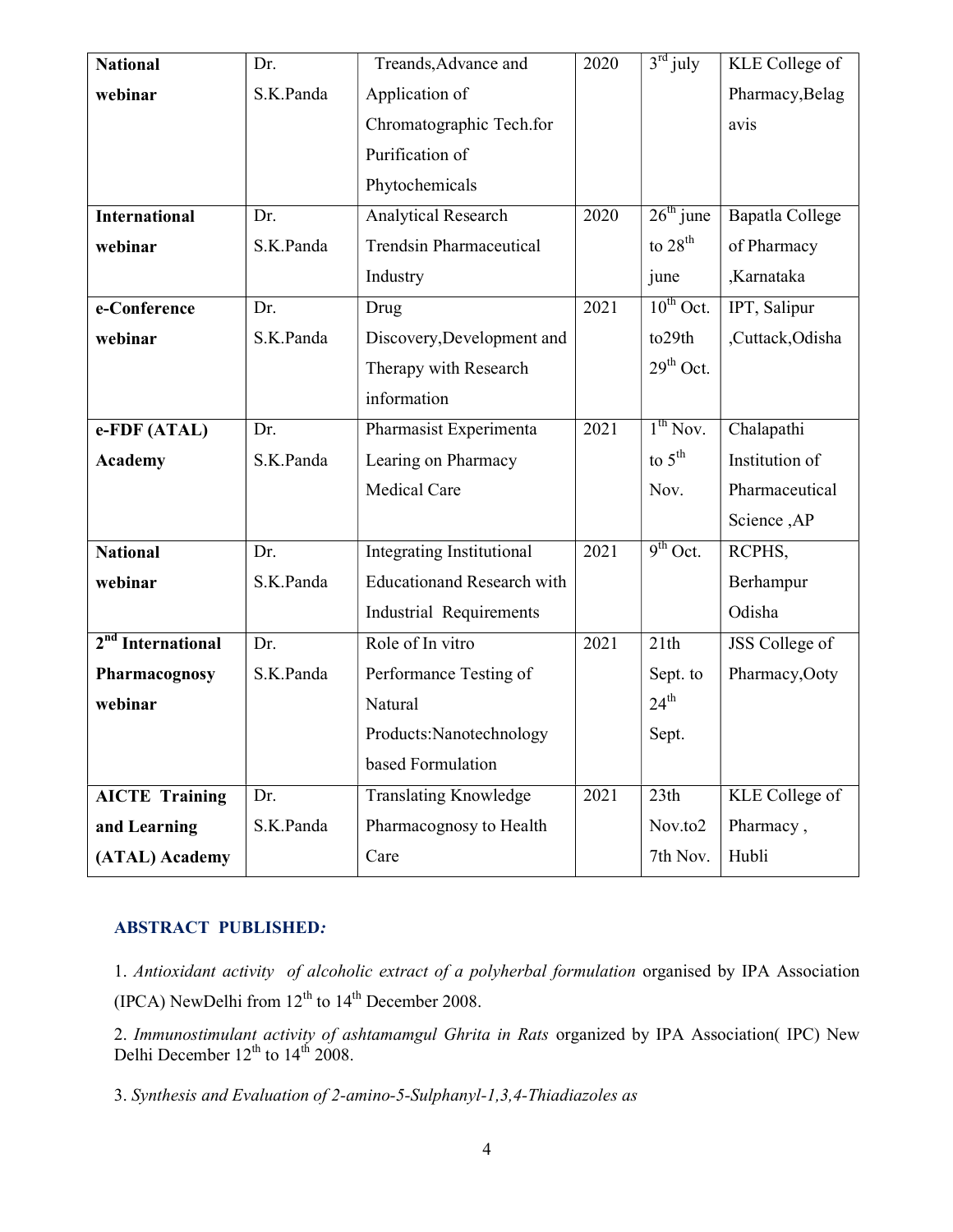| <b>National</b>               | Dr.       | Treands, Advance and              | 2020 | $3rd$ july         | KLE College of         |
|-------------------------------|-----------|-----------------------------------|------|--------------------|------------------------|
| webinar                       | S.K.Panda | Application of                    |      |                    | Pharmacy, Belag        |
|                               |           | Chromatographic Tech.for          |      |                    | avis                   |
|                               |           | Purification of                   |      |                    |                        |
|                               |           | Phytochemicals                    |      |                    |                        |
| <b>International</b>          | Dr.       | <b>Analytical Research</b>        | 2020 | $26th$ june        | <b>Bapatla College</b> |
| webinar                       | S.K.Panda | <b>Trendsin Pharmaceutical</b>    |      | to $28th$          | of Pharmacy            |
|                               |           | Industry                          |      | june               | ,Karnataka             |
| e-Conference                  | Dr.       | Drug                              | 2021 | $10^{th}$ Oct.     | IPT, Salipur           |
| webinar                       | S.K.Panda | Discovery, Development and        |      | to29th             | ,Cuttack,Odisha        |
|                               |           | Therapy with Research             |      | $29th$ Oct.        |                        |
|                               |           | information                       |      |                    |                        |
| e-FDF (ATAL)                  | Dr.       | Pharmasist Experimenta            | 2021 | $1^{th}$ Nov.      | Chalapathi             |
| <b>Academy</b>                | S.K.Panda | Learing on Pharmacy               |      | to $5^{\text{th}}$ | Institution of         |
|                               |           | Medical Care                      |      | Nov.               | Pharmaceutical         |
|                               |           |                                   |      |                    | Science, AP            |
| <b>National</b>               | Dr.       | <b>Integrating Institutional</b>  | 2021 | $9^{th}$ Oct.      | RCPHS,                 |
| webinar                       | S.K.Panda | <b>Educationand Research with</b> |      |                    | Berhampur              |
|                               |           | Industrial Requirements           |      |                    | Odisha                 |
| 2 <sup>nd</sup> International | Dr.       | Role of In vitro                  | 2021 | 21th               | JSS College of         |
| Pharmacognosy                 | S.K.Panda | Performance Testing of            |      | Sept. to           | Pharmacy, Ooty         |
| webinar                       |           | Natural                           |      | $24^{\text{th}}$   |                        |
|                               |           | Products:Nanotechnology           |      | Sept.              |                        |
|                               |           | based Formulation                 |      |                    |                        |
| <b>AICTE Training</b>         | Dr.       | <b>Translating Knowledge</b>      | 2021 | 23th               | <b>KLE</b> College of  |
| and Learning                  | S.K.Panda | Pharmacognosy to Health           |      | Nov.to2            | Pharmacy,              |
| (ATAL) Academy                |           | Care                              |      | 7th Nov.           | Hubli                  |

# ABSTRACT PUBLISHED:

1. Antioxidant activity of alcoholic extract of a polyherbal formulation organised by IPA Association (IPCA) NewDelhi from  $12^{th}$  to  $14^{th}$  December 2008.

2. Immunostimulant activity of ashtamamgul Ghrita in Rats organized by IPA Association( IPC) New Delhi December  $12^{th}$  to  $14^{th}$  2008.

3. Synthesis and Evaluation of 2-amino-5-Sulphanyl-1,3,4-Thiadiazoles as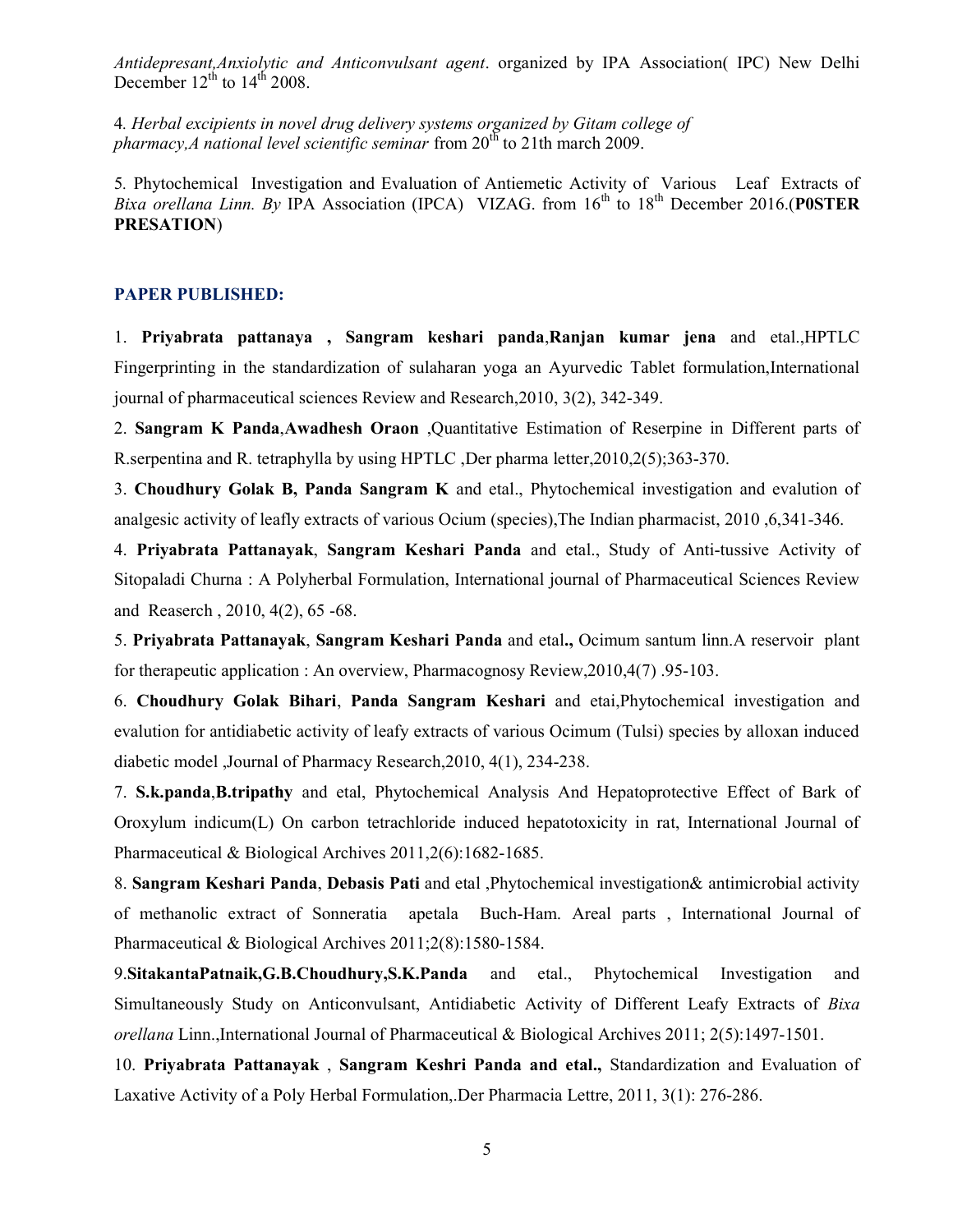Antidepresant,Anxiolytic and Anticonvulsant agent. organized by IPA Association( IPC) New Delhi December  $12^{th}$  to  $14^{th}$  2008.

4. Herbal excipients in novel drug delivery systems organized by Gitam college of pharmacy, A national level scientific seminar from  $20<sup>th</sup>$  to 21th march 2009.

5. Phytochemical Investigation and Evaluation of Antiemetic Activity of Various Leaf Extracts of *Bixa orellana Linn. By* IPA Association (IPCA) VIZAG. from  $16^{th}$  to  $18^{th}$  December 2016.(POSTER PRESATION)

#### PAPER PUBLISHED:

1. Priyabrata pattanaya , Sangram keshari panda,Ranjan kumar jena and etal.,HPTLC Fingerprinting in the standardization of sulaharan yoga an Ayurvedic Tablet formulation,International journal of pharmaceutical sciences Review and Research,2010, 3(2), 342-349.

2. Sangram K Panda,Awadhesh Oraon ,Quantitative Estimation of Reserpine in Different parts of R.serpentina and R. tetraphylla by using HPTLC ,Der pharma letter,2010,2(5);363-370.

3. Choudhury Golak B, Panda Sangram K and etal., Phytochemical investigation and evalution of analgesic activity of leafly extracts of various Ocium (species),The Indian pharmacist, 2010 ,6,341-346.

4. Priyabrata Pattanayak, Sangram Keshari Panda and etal., Study of Anti-tussive Activity of Sitopaladi Churna : A Polyherbal Formulation, International journal of Pharmaceutical Sciences Review and Reaserch , 2010, 4(2), 65 -68.

5. Priyabrata Pattanayak, Sangram Keshari Panda and etal., Ocimum santum linn.A reservoir plant for therapeutic application : An overview, Pharmacognosy Review,2010,4(7) .95-103.

6. Choudhury Golak Bihari, Panda Sangram Keshari and etai,Phytochemical investigation and evalution for antidiabetic activity of leafy extracts of various Ocimum (Tulsi) species by alloxan induced diabetic model ,Journal of Pharmacy Research,2010, 4(1), 234-238.

7. S.k.panda,B.tripathy and etal, Phytochemical Analysis And Hepatoprotective Effect of Bark of Oroxylum indicum(L) On carbon tetrachloride induced hepatotoxicity in rat, International Journal of Pharmaceutical & Biological Archives 2011,2(6):1682-1685.

8. Sangram Keshari Panda, Debasis Pati and etal , Phytochemical investigation & antimicrobial activity of methanolic extract of Sonneratia apetala Buch-Ham. Areal parts , International Journal of Pharmaceutical & Biological Archives 2011;2(8):1580-1584.

9. Sitakanta Patnaik, G.B.Choudhury, S.K. Panda and etal., Phytochemical Investigation and Simultaneously Study on Anticonvulsant, Antidiabetic Activity of Different Leafy Extracts of Bixa orellana Linn.,International Journal of Pharmaceutical & Biological Archives 2011; 2(5):1497-1501.

10. Priyabrata Pattanayak , Sangram Keshri Panda and etal., Standardization and Evaluation of Laxative Activity of a Poly Herbal Formulation,.Der Pharmacia Lettre, 2011, 3(1): 276-286.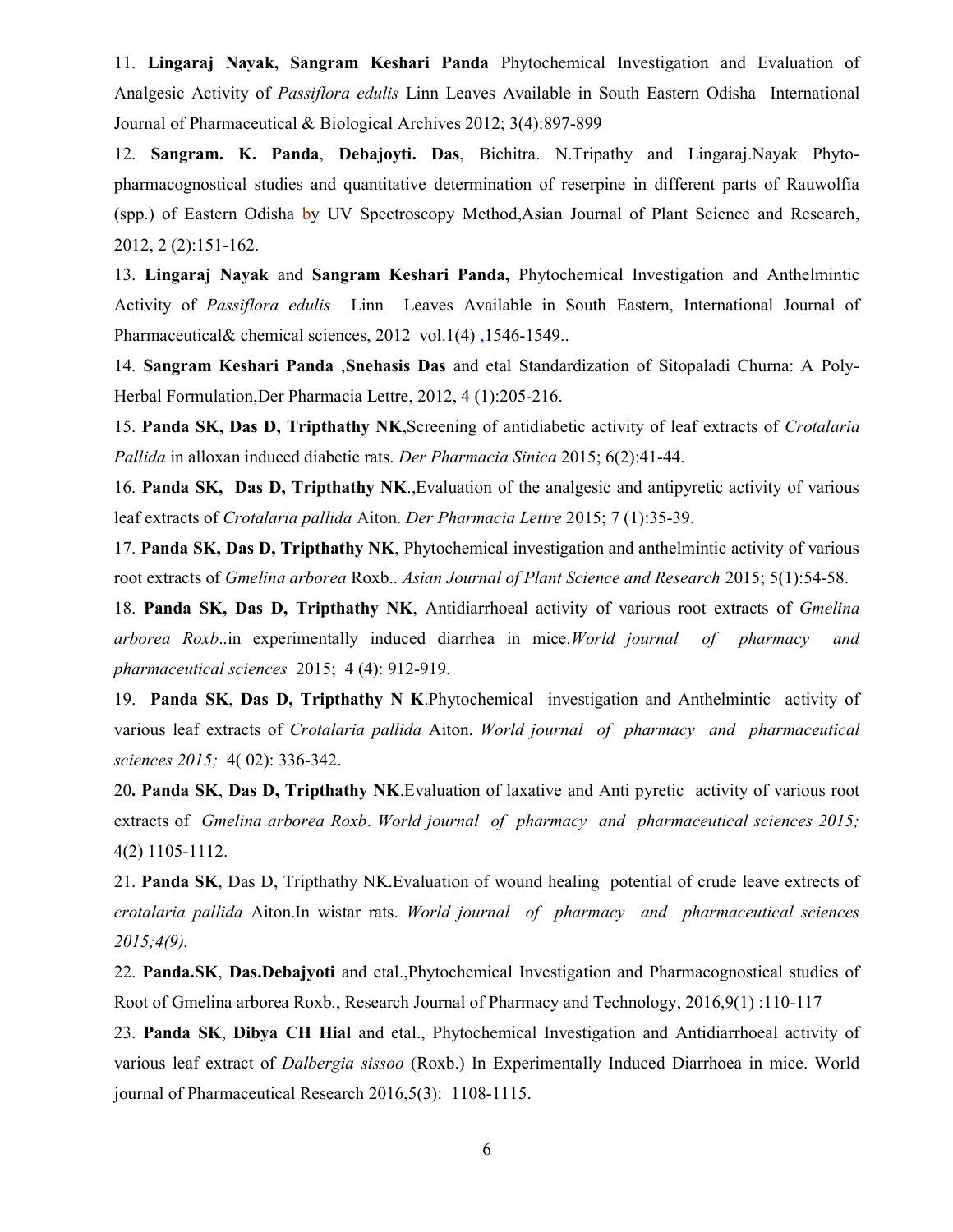11. Lingaraj Nayak, Sangram Keshari Panda Phytochemical Investigation and Evaluation of Analgesic Activity of Passiflora edulis Linn Leaves Available in South Eastern Odisha International Journal of Pharmaceutical & Biological Archives 2012; 3(4):897-899

12. Sangram. K. Panda, Debajoyti. Das, Bichitra. N.Tripathy and Lingaraj.Nayak Phytopharmacognostical studies and quantitative determination of reserpine in different parts of Rauwolfia (spp.) of Eastern Odisha by UV Spectroscopy Method,Asian Journal of Plant Science and Research, 2012, 2 (2):151-162.

13. Lingaraj Nayak and Sangram Keshari Panda, Phytochemical Investigation and Anthelmintic Activity of Passiflora edulis Linn Leaves Available in South Eastern, International Journal of Pharmaceutical& chemical sciences, 2012 vol.1(4) ,1546-1549..

14. Sangram Keshari Panda ,Snehasis Das and etal Standardization of Sitopaladi Churna: A Poly-Herbal Formulation,Der Pharmacia Lettre, 2012, 4 (1):205-216.

15. Panda SK, Das D, Tripthathy NK, Screening of antidiabetic activity of leaf extracts of Crotalaria Pallida in alloxan induced diabetic rats. Der Pharmacia Sinica 2015; 6(2):41-44.

16. Panda SK, Das D, Tripthathy NK.,Evaluation of the analgesic and antipyretic activity of various leaf extracts of Crotalaria pallida Aiton. Der Pharmacia Lettre 2015; 7 (1):35-39.

17. Panda SK, Das D, Tripthathy NK, Phytochemical investigation and anthelmintic activity of various root extracts of Gmelina arborea Roxb.. Asian Journal of Plant Science and Research 2015; 5(1):54-58.

18. Panda SK, Das D, Tripthathy NK, Antidiarrhoeal activity of various root extracts of Gmelina arborea Roxb..in experimentally induced diarrhea in mice.World journal of pharmacy and pharmaceutical sciences 2015; 4 (4): 912-919.

19. Panda SK, Das D, Tripthathy N K.Phytochemical investigation and Anthelmintic activity of various leaf extracts of Crotalaria pallida Aiton. World journal of pharmacy and pharmaceutical sciences 2015; 4( 02): 336-342.

20. Panda SK, Das D, Tripthathy NK.Evaluation of laxative and Anti pyretic activity of various root extracts of Gmelina arborea Roxb. World journal of pharmacy and pharmaceutical sciences 2015; 4(2) 1105-1112.

21. Panda SK, Das D, Tripthathy NK.Evaluation of wound healing potential of crude leave extrects of crotalaria pallida Aiton.In wistar rats. World journal of pharmacy and pharmaceutical sciences 2015;4(9).

22. Panda.SK, Das.Debajyoti and etal.,Phytochemical Investigation and Pharmacognostical studies of Root of Gmelina arborea Roxb., Research Journal of Pharmacy and Technology, 2016,9(1) :110-117

23. Panda SK, Dibya CH Hial and etal., Phytochemical Investigation and Antidiarrhoeal activity of various leaf extract of *Dalbergia sissoo* (Roxb.) In Experimentally Induced Diarrhoea in mice. World journal of Pharmaceutical Research 2016,5(3): 1108-1115.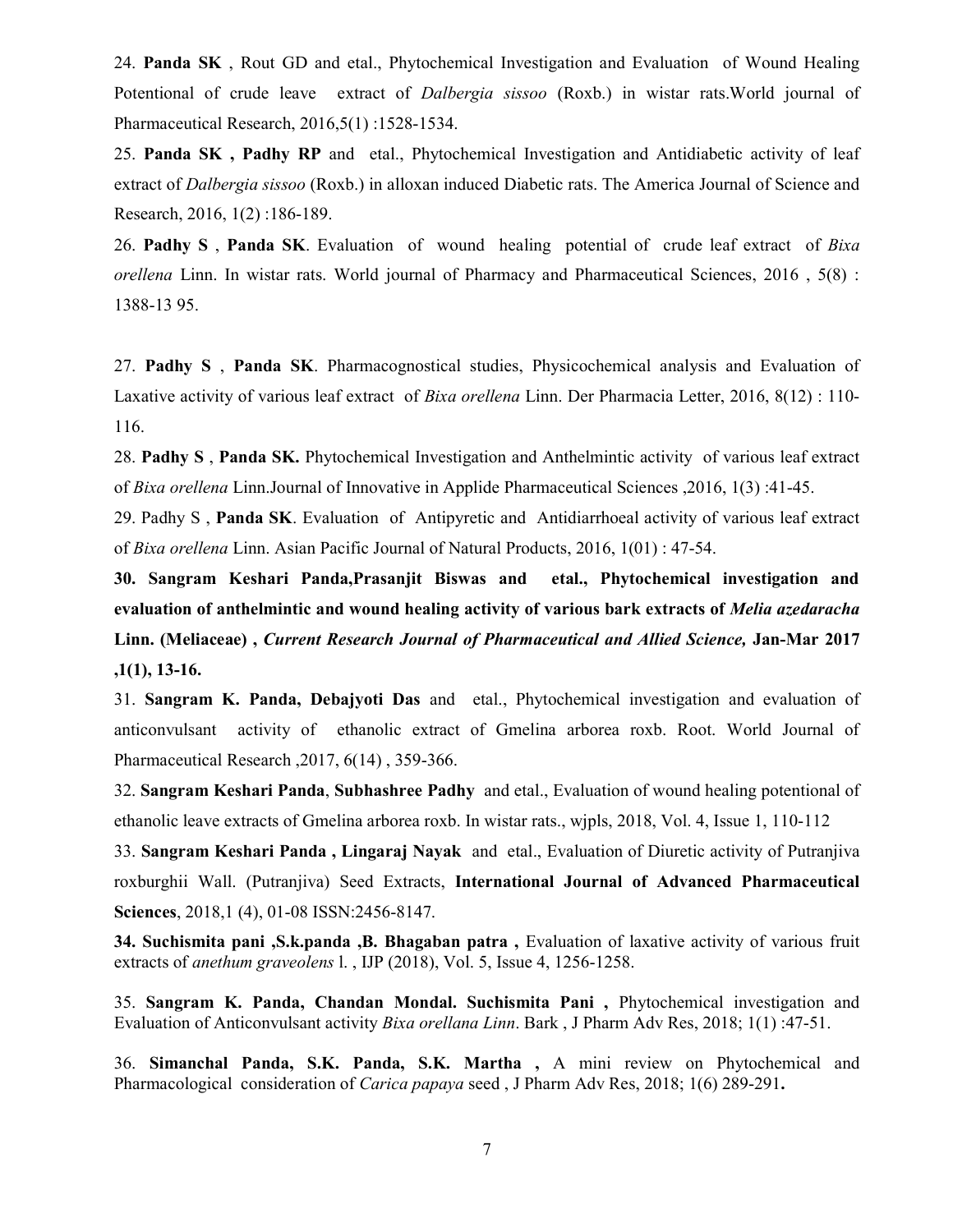24. Panda SK, Rout GD and etal., Phytochemical Investigation and Evaluation of Wound Healing Potentional of crude leave extract of *Dalbergia sissoo* (Roxb.) in wistar rats. World journal of Pharmaceutical Research, 2016,5(1) :1528-1534.

25. Panda SK , Padhy RP and etal., Phytochemical Investigation and Antidiabetic activity of leaf extract of *Dalbergia sissoo* (Roxb.) in alloxan induced Diabetic rats. The America Journal of Science and Research, 2016, 1(2) :186-189.

26. Padhy S, Panda SK. Evaluation of wound healing potential of crude leaf extract of Bixa orellena Linn. In wistar rats. World journal of Pharmacy and Pharmaceutical Sciences, 2016 , 5(8) : 1388-13 95.

27. Padhy S , Panda SK. Pharmacognostical studies, Physicochemical analysis and Evaluation of Laxative activity of various leaf extract of *Bixa orellena* Linn. Der Pharmacia Letter, 2016, 8(12) : 110-116.

28. Padhy S, Panda SK. Phytochemical Investigation and Anthelmintic activity of various leaf extract of Bixa orellena Linn.Journal of Innovative in Applide Pharmaceutical Sciences ,2016, 1(3) :41-45.

29. Padhy S, Panda SK. Evaluation of Antipyretic and Antidiarrhoeal activity of various leaf extract of Bixa orellena Linn. Asian Pacific Journal of Natural Products, 2016, 1(01) : 47-54.

30. Sangram Keshari Panda,Prasanjit Biswas and etal., Phytochemical investigation and evaluation of anthelmintic and wound healing activity of various bark extracts of *Melia azedaracha* Linn. (Meliaceae) , Current Research Journal of Pharmaceutical and Allied Science, Jan-Mar 2017 ,1(1), 13-16.

31. Sangram K. Panda, Debajyoti Das and etal., Phytochemical investigation and evaluation of anticonvulsant activity of ethanolic extract of Gmelina arborea roxb. Root. World Journal of Pharmaceutical Research ,2017, 6(14) , 359-366.

32. Sangram Keshari Panda, Subhashree Padhy and etal., Evaluation of wound healing potentional of ethanolic leave extracts of Gmelina arborea roxb. In wistar rats., wjpls, 2018, Vol. 4, Issue 1, 110-112

33. Sangram Keshari Panda , Lingaraj Nayak and etal., Evaluation of Diuretic activity of Putranjiva roxburghii Wall. (Putranjiva) Seed Extracts, International Journal of Advanced Pharmaceutical Sciences, 2018,1 (4), 01-08 ISSN:2456-8147.

34. Suchismita pani ,S.k.panda ,B. Bhagaban patra , Evaluation of laxative activity of various fruit extracts of anethum graveolens l., IJP (2018), Vol. 5, Issue 4, 1256-1258.

35. Sangram K. Panda, Chandan Mondal. Suchismita Pani , Phytochemical investigation and Evaluation of Anticonvulsant activity *Bixa orellana Linn*. Bark, J Pharm Adv Res, 2018; 1(1):47-51.

36. Simanchal Panda, S.K. Panda, S.K. Martha , A mini review on Phytochemical and Pharmacological consideration of *Carica papaya* seed, J Pharm Adv Res, 2018; 1(6) 289-291.